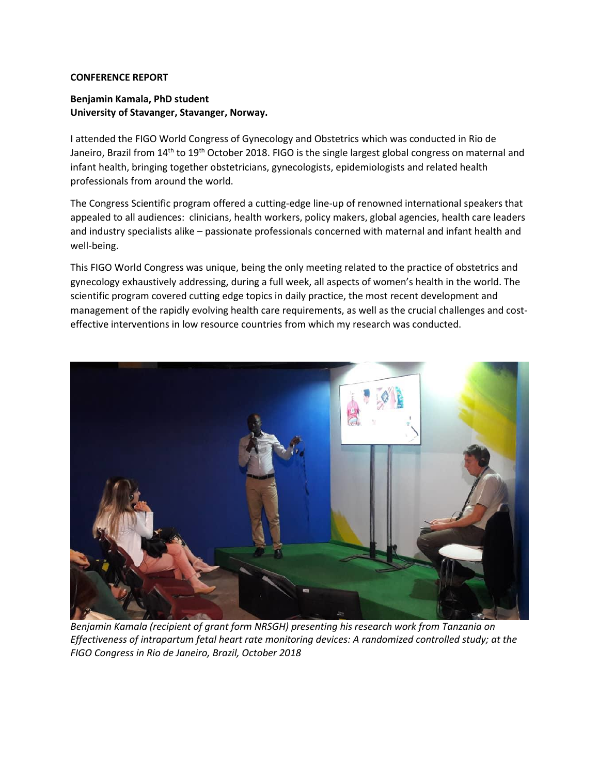## **CONFERENCE REPORT**

## **Benjamin Kamala, PhD student University of Stavanger, Stavanger, Norway.**

I attended the FIGO World Congress of Gynecology and Obstetrics which was conducted in Rio de Janeiro, Brazil from 14<sup>th</sup> to 19<sup>th</sup> October 2018. FIGO is the single largest global congress on maternal and infant health, bringing together obstetricians, gynecologists, epidemiologists and related health professionals from around the world.

The Congress Scientific program offered a cutting-edge line-up of renowned international speakers that appealed to all audiences: clinicians, health workers, policy makers, global agencies, health care leaders and industry specialists alike – passionate professionals concerned with maternal and infant health and well-being.

This FIGO World Congress was unique, being the only meeting related to the practice of obstetrics and gynecology exhaustively addressing, during a full week, all aspects of women's health in the world. The scientific program covered cutting edge topics in daily practice, the most recent development and management of the rapidly evolving health care requirements, as well as the crucial challenges and costeffective interventions in low resource countries from which my research was conducted.



*Benjamin Kamala (recipient of grant form NRSGH) presenting his research work from Tanzania on Effectiveness of intrapartum fetal heart rate monitoring devices: A randomized controlled study; at the FIGO Congress in Rio de Janeiro, Brazil, October 2018*